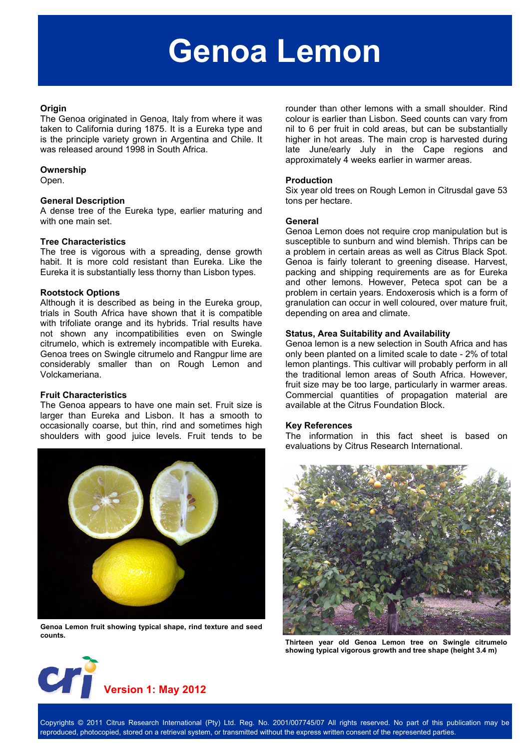# **Genoa Lemon**

#### **Origin**

The Genoa originated in Genoa, Italy from where it was taken to California during 1875. It is a Eureka type and is the principle variety grown in Argentina and Chile. It was released around 1998 in South Africa.

#### **Ownership**

Open.

#### **General Description**

A dense tree of the Eureka type, earlier maturing and with one main set.

#### **Tree Characteristics**

The tree is vigorous with a spreading, dense growth habit. It is more cold resistant than Eureka. Like the Eureka it is substantially less thorny than Lisbon types.

#### **Rootstock Options**

Although it is described as being in the Eureka group, trials in South Africa have shown that it is compatible with trifoliate orange and its hybrids. Trial results have not shown any incompatibilities even on Swingle citrumelo, which is extremely incompatible with Eureka. Genoa trees on Swingle citrumelo and Rangpur lime are considerably smaller than on Rough Lemon and Volckameriana.

#### **Fruit Characteristics**

The Genoa appears to have one main set. Fruit size is larger than Eureka and Lisbon. It has a smooth to occasionally coarse, but thin, rind and sometimes high shoulders with good juice levels. Fruit tends to be



**Genoa Lemon fruit showing typical shape, rind texture and seed counts.** 

rounder than other lemons with a small shoulder. Rind colour is earlier than Lisbon. Seed counts can vary from nil to 6 per fruit in cold areas, but can be substantially higher in hot areas. The main crop is harvested during late June/early July in the Cape regions and approximately 4 weeks earlier in warmer areas.

#### **Production**

Six year old trees on Rough Lemon in Citrusdal gave 53 tons per hectare.

#### **General**

Genoa Lemon does not require crop manipulation but is susceptible to sunburn and wind blemish. Thrips can be a problem in certain areas as well as Citrus Black Spot. Genoa is fairly tolerant to greening disease. Harvest, packing and shipping requirements are as for Eureka and other lemons. However, Peteca spot can be a problem in certain years. Endoxerosis which is a form of granulation can occur in well coloured, over mature fruit, depending on area and climate.

#### **Status, Area Suitability and Availability**

Genoa lemon is a new selection in South Africa and has only been planted on a limited scale to date - 2% of total lemon plantings. This cultivar will probably perform in all the traditional lemon areas of South Africa. However, fruit size may be too large, particularly in warmer areas. Commercial quantities of propagation material are available at the Citrus Foundation Block.

#### **Key References**

The information in this fact sheet is based on evaluations by Citrus Research International.



**Thirteen year old Genoa Lemon tree on Swingle citrumelo showing typical vigorous growth and tree shape (height 3.4 m)** 



Copyrights © 2011 Citrus Research International (Pty) Ltd. Reg. No. 2001/007745/07 All rights reserved. No part of this publication may be reproduced, photocopied, stored on a retrieval system, or transmitted without the express written consent of the represented parties.